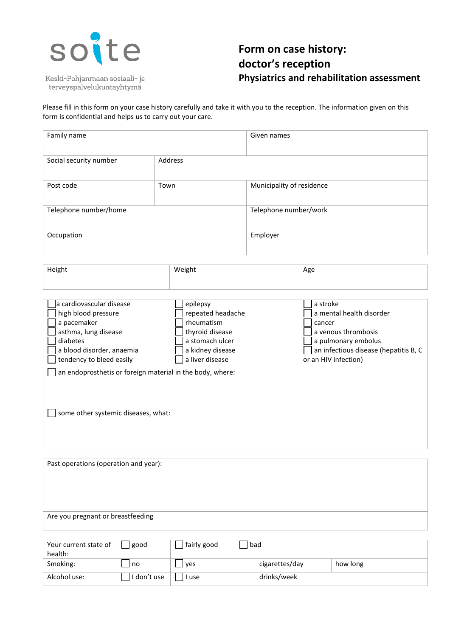

Keski-Pohjanmaan sosiaali- ja terveyspalvelukuntayhtymä

## **Form on case history: doctor's reception Physiatrics and rehabilitation assessment**

Please fill in this form on your case history carefully and take it with you to the reception. The information given on this form is confidential and helps us to carry out your care.

| Family name                                                                                                                                                                                                                                                     |         |                                                                                                                          | Given names               |                                                                                                                                                               |  |
|-----------------------------------------------------------------------------------------------------------------------------------------------------------------------------------------------------------------------------------------------------------------|---------|--------------------------------------------------------------------------------------------------------------------------|---------------------------|---------------------------------------------------------------------------------------------------------------------------------------------------------------|--|
| Social security number                                                                                                                                                                                                                                          | Address |                                                                                                                          |                           |                                                                                                                                                               |  |
| Post code                                                                                                                                                                                                                                                       | Town    |                                                                                                                          | Municipality of residence |                                                                                                                                                               |  |
| Telephone number/home                                                                                                                                                                                                                                           |         |                                                                                                                          | Telephone number/work     |                                                                                                                                                               |  |
| Occupation                                                                                                                                                                                                                                                      |         |                                                                                                                          | Employer                  |                                                                                                                                                               |  |
| Height                                                                                                                                                                                                                                                          | Weight  |                                                                                                                          |                           | Age                                                                                                                                                           |  |
| a cardiovascular disease<br>high blood pressure<br>a pacemaker<br>asthma, lung disease<br>diabetes<br>a blood disorder, anaemia<br>tendency to bleed easily<br>an endoprosthetis or foreign material in the body, where:<br>some other systemic diseases, what: |         | epilepsy<br>repeated headache<br>rheumatism<br>thyroid disease<br>a stomach ulcer<br>a kidney disease<br>a liver disease |                           | a stroke<br>a mental health disorder<br>cancer<br>a venous thrombosis<br>a pulmonary embolus<br>an infectious disease (hepatitis B, C<br>or an HIV infection) |  |
| Past operations (operation and year):                                                                                                                                                                                                                           |         |                                                                                                                          |                           |                                                                                                                                                               |  |

## Are you pregnant or breastfeeding

| Your current state of<br>health: | good        | fairly good | bad            |          |
|----------------------------------|-------------|-------------|----------------|----------|
| Smoking:                         | no          | yes         | cigarettes/day | how long |
| Alcohol use:                     | I don't use | l use       | drinks/week    |          |